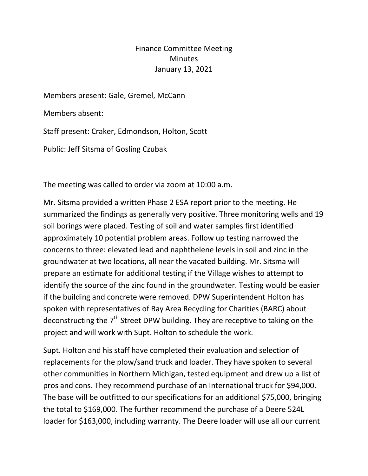Finance Committee Meeting **Minutes** January 13, 2021

Members present: Gale, Gremel, McCann

Members absent:

Staff present: Craker, Edmondson, Holton, Scott

Public: Jeff Sitsma of Gosling Czubak

The meeting was called to order via zoom at 10:00 a.m.

Mr. Sitsma provided a written Phase 2 ESA report prior to the meeting. He summarized the findings as generally very positive. Three monitoring wells and 19 soil borings were placed. Testing of soil and water samples first identified approximately 10 potential problem areas. Follow up testing narrowed the concerns to three: elevated lead and naphthelene levels in soil and zinc in the groundwater at two locations, all near the vacated building. Mr. Sitsma will prepare an estimate for additional testing if the Village wishes to attempt to identify the source of the zinc found in the groundwater. Testing would be easier if the building and concrete were removed. DPW Superintendent Holton has spoken with representatives of Bay Area Recycling for Charities (BARC) about deconstructing the  $7<sup>th</sup>$  Street DPW building. They are receptive to taking on the project and will work with Supt. Holton to schedule the work.

Supt. Holton and his staff have completed their evaluation and selection of replacements for the plow/sand truck and loader. They have spoken to several other communities in Northern Michigan, tested equipment and drew up a list of pros and cons. They recommend purchase of an International truck for \$94,000. The base will be outfitted to our specifications for an additional \$75,000, bringing the total to \$169,000. The further recommend the purchase of a Deere 524L loader for \$163,000, including warranty. The Deere loader will use all our current